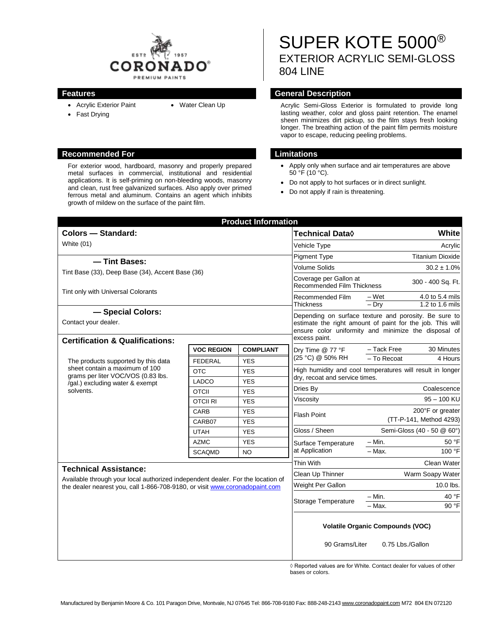

- Acrylic Exterior Paint
- Fast Drying

#### **Recommended For Limitations**

For exterior wood, hardboard, masonry and properly prepared metal surfaces in commercial, institutional and residential applications. It is self-priming on non-bleeding woods, masonry and clean, rust free galvanized surfaces. Also apply over primed ferrous metal and aluminum. Contains an agent which inhibits growth of mildew on the surface of the paint film.

# SUPER KOTE 5000® EXTERIOR ACRYLIC SEMI-GLOSS 804 LINE

#### **Features General Description**

• Water Clean Up **Acrylic Semi-Gloss Exterior is formulated to provide long** lasting weather, color and gloss paint retention. The enamel sheen minimizes dirt pickup, so the film stays fresh looking longer. The breathing action of the paint film permits moisture vapor to escape, reducing peeling problems.

- Apply only when surface and air temperatures are above 50 °F (10 °C).
- Do not apply to hot surfaces or in direct sunlight.
- Do not apply if rain is threatening.

| <b>Product Information</b>                                                                                                                                  |                   |                  |                                                                                                                                                                                             |                                                       |                         |
|-------------------------------------------------------------------------------------------------------------------------------------------------------------|-------------------|------------------|---------------------------------------------------------------------------------------------------------------------------------------------------------------------------------------------|-------------------------------------------------------|-------------------------|
| <b>Colors - Standard:</b>                                                                                                                                   |                   |                  | <b>Technical Data</b> ♦                                                                                                                                                                     | <b>White</b>                                          |                         |
| <b>White (01)</b>                                                                                                                                           |                   |                  | Vehicle Type                                                                                                                                                                                | Acrylic                                               |                         |
|                                                                                                                                                             |                   |                  | <b>Pigment Type</b>                                                                                                                                                                         |                                                       | <b>Titanium Dioxide</b> |
| - Tint Bases:                                                                                                                                               |                   |                  | Volume Solids                                                                                                                                                                               |                                                       | $30.2 \pm 1.0\%$        |
| Tint Base (33), Deep Base (34), Accent Base (36)                                                                                                            |                   |                  | Coverage per Gallon at<br><b>Recommended Film Thickness</b>                                                                                                                                 |                                                       | 300 - 400 Sq. Ft.       |
| Tint only with Universal Colorants                                                                                                                          |                   |                  | Recommended Film<br><b>Thickness</b>                                                                                                                                                        | – Wet                                                 | 4.0 to 5.4 mils         |
| - Special Colors:                                                                                                                                           |                   |                  |                                                                                                                                                                                             | $-$ Dry                                               | 1.2 to 1.6 mils         |
| Contact your dealer.                                                                                                                                        |                   |                  | Depending on surface texture and porosity. Be sure to<br>estimate the right amount of paint for the job. This will<br>ensure color uniformity and minimize the disposal of<br>excess paint. |                                                       |                         |
| <b>Certification &amp; Qualifications:</b>                                                                                                                  |                   |                  |                                                                                                                                                                                             |                                                       |                         |
| The products supported by this data<br>sheet contain a maximum of 100<br>grams per liter VOC/VOS (0.83 lbs.<br>/gal.) excluding water & exempt<br>solvents. | <b>VOC REGION</b> | <b>COMPLIANT</b> | Dry Time @ 77 °F<br>(25 °C) @ 50% RH                                                                                                                                                        | - Tack Free                                           | 30 Minutes              |
|                                                                                                                                                             | <b>FEDERAL</b>    | <b>YES</b>       |                                                                                                                                                                                             | - To Recoat                                           | 4 Hours                 |
|                                                                                                                                                             | <b>OTC</b>        | <b>YES</b>       | High humidity and cool temperatures will result in longer<br>dry, recoat and service times.                                                                                                 |                                                       |                         |
|                                                                                                                                                             | LADCO             | <b>YES</b>       |                                                                                                                                                                                             | Coalescence                                           |                         |
|                                                                                                                                                             | <b>OTCII</b>      | <b>YES</b>       | Dries By                                                                                                                                                                                    |                                                       |                         |
|                                                                                                                                                             | <b>OTCII RI</b>   | <b>YES</b>       | Viscosity                                                                                                                                                                                   | $95 - 100$ KU                                         |                         |
|                                                                                                                                                             | <b>CARB</b>       | <b>YES</b>       | <b>Flash Point</b>                                                                                                                                                                          |                                                       | 200°F or greater        |
|                                                                                                                                                             | CARB07            | <b>YES</b>       | Gloss / Sheen                                                                                                                                                                               | (TT-P-141, Method 4293)<br>Semi-Gloss (40 - 50 @ 60°) |                         |
|                                                                                                                                                             | <b>UTAH</b>       | <b>YES</b>       |                                                                                                                                                                                             |                                                       |                         |
|                                                                                                                                                             | <b>AZMC</b>       | <b>YES</b>       | Surface Temperature<br>at Application                                                                                                                                                       | $-$ Min.<br>$-$ Max.                                  | 50 °F                   |
|                                                                                                                                                             | <b>SCAQMD</b>     | <b>NO</b>        |                                                                                                                                                                                             |                                                       | 100 °F                  |
| <b>Technical Assistance:</b>                                                                                                                                |                   |                  | Thin With                                                                                                                                                                                   |                                                       | Clean Water             |
| Available through your local authorized independent dealer. For the location of                                                                             |                   |                  | Clean Up Thinner                                                                                                                                                                            | Warm Soapy Water                                      |                         |
| the dealer nearest you, call 1-866-708-9180, or visit www.coronadopaint.com                                                                                 |                   |                  | Weight Per Gallon                                                                                                                                                                           |                                                       | 10.0 lbs.               |
|                                                                                                                                                             |                   |                  | <b>Storage Temperature</b>                                                                                                                                                                  | $-$ Min.                                              | 40 °F                   |
|                                                                                                                                                             |                   |                  |                                                                                                                                                                                             | - Max.                                                | 90 °F                   |
|                                                                                                                                                             |                   |                  | <b>Volatile Organic Compounds (VOC)</b>                                                                                                                                                     |                                                       |                         |
|                                                                                                                                                             |                   |                  | 90 Grams/Liter<br>0.75 Lbs./Gallon                                                                                                                                                          |                                                       |                         |

◊ Reported values are for White. Contact dealer for values of other bases or colors.